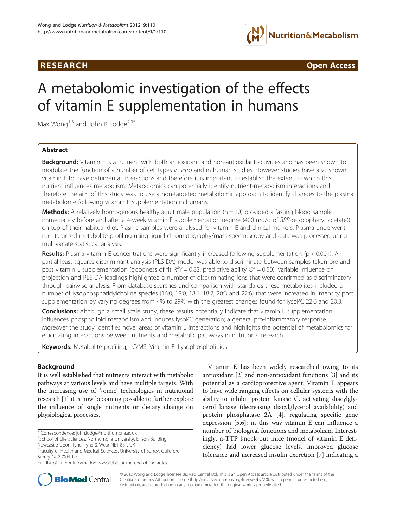# R E S EAR CH Open Access



# A metabolomic investigation of the effects of vitamin E supplementation in humans

Max Wong<sup>1,3</sup> and John K Lodge<sup>2,3\*</sup>

## Abstract

Background: Vitamin E is a nutrient with both antioxidant and non-antioxidant activities and has been shown to modulate the function of a number of cell types in vitro and in human studies. However studies have also shown vitamin E to have detrimental interactions and therefore it is important to establish the extent to which this nutrient influences metabolism. Metabolomics can potentially identify nutrient-metabolism interactions and therefore the aim of this study was to use a non-targeted metabolomic approach to identify changes to the plasma metabolome following vitamin E supplementation in humans.

**Methods:** A relatively homogenous healthy adult male population  $(n = 10)$  provided a fasting blood sample immediately before and after a 4-week vitamin E supplementation regime (400 mg/d of RRR-α-tocopheryl acetate)) on top of their habitual diet. Plasma samples were analysed for vitamin E and clinical markers. Plasma underwent non-targeted metabolite profiling using liquid chromatography/mass spectroscopy and data was processed using multivariate statistical analysis.

**Results:** Plasma vitamin E concentrations were significantly increased following supplementation ( $p < 0.001$ ). A partial least squares-discriminant analysis (PLS-DA) model was able to discriminate between samples taken pre and post vitamin E supplementation (goodness of fit  $R^2Y = 0.82$ , predictive ability  $Q^2 = 0.50$ ). Variable influence on projection and PLS-DA loadings highlighted a number of discriminating ions that were confirmed as discriminatory through pairwise analysis. From database searches and comparison with standards these metabolites included a number of lysophosphatidylcholine species (16:0, 18:0, 18:1, 18:2, 20:3 and 22:6) that were increased in intensity post supplementation by varying degrees from 4% to 29% with the greatest changes found for lysoPC 22:6 and 20:3.

**Conclusions:** Although a small scale study, these results potentially indicate that vitamin E supplementation influences phospholipid metabolism and induces lysoPC generation; a general pro-inflammatory response. Moreover the study identifies novel areas of vitamin E interactions and highlights the potential of metabolomics for elucidating interactions between nutrients and metabolic pathways in nutritional research.

Keywords: Metabolite profiling, LC/MS, Vitamin E, Lysophospholipids

## Background

It is well established that nutrients interact with metabolic pathways at various levels and have multiple targets. With the increasing use of '-omic' technologies in nutritional research [[1\]](#page-7-0) it is now becoming possible to further explore the influence of single nutrients or dietary change on physiological processes.

\* Correspondence: [john.lodge@northumbria.ac.uk](mailto:john.lodge@northumbria.ac.uk) <sup>2</sup>

Newcastle-Upon-Tyne, Tyne & Wear NE1 8ST, UK

Vitamin E has been widely researched owing to its antioxidant [\[2](#page-7-0)] and non-antioxidant functions [[3\]](#page-7-0) and its potential as a cardioprotective agent. Vitamin E appears to have wide ranging effects on cellular systems with the ability to inhibit protein kinase C, activating diacylglycerol kinase (decreasing diacylglycerol availability) and protein phosphatase 2A [[4\]](#page-7-0), regulating specific gene expression [\[5,6](#page-7-0)]; in this way vitamin E can influence a number of biological functions and metabolism. Interestingly, α-TTP knock out mice (model of vitamin E deficiency) had lower glucose levels, improved glucose tolerance and increased insulin excretion [[7](#page-7-0)] indicating a



© 2012 Wong and Lodge; licensee BioMed Central Ltd. This is an Open Access article distributed under the terms of the Creative Commons Attribution License (<http://creativecommons.org/licenses/by/2.0>), which permits unrestricted use, distribution, and reproduction in any medium, provided the original work is properly cited.

<sup>&</sup>lt;sup>2</sup>School of Life Sciences, Northumbria University, Ellison Building,

<sup>&</sup>lt;sup>3</sup>Faculty of Health and Medical Sciences, University of Surrey, Guildford, Surrey GU2 7XH, UK

Full list of author information is available at the end of the article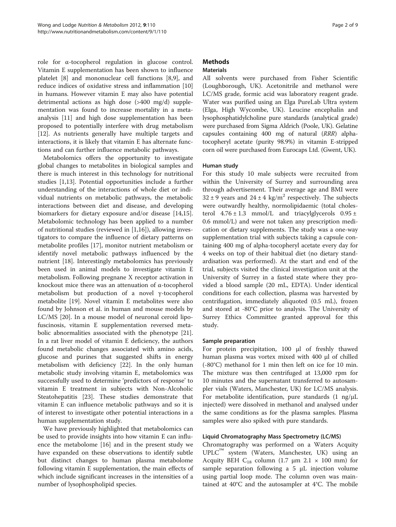role for α-tocopherol regulation in glucose control. Vitamin E supplementation has been shown to influence platelet [[8\]](#page-7-0) and mononuclear cell functions [\[8,9\]](#page-7-0), and reduce indices of oxidative stress and inflammation [[10](#page-7-0)] in humans. However vitamin E may also have potential detrimental actions as high dose (>400 mg/d) supplementation was found to increase mortality in a metaanalysis [[11\]](#page-7-0) and high dose supplementation has been proposed to potentially interfere with drug metabolism [[12\]](#page-7-0). As nutrients generally have multiple targets and interactions, it is likely that vitamin E has alternate functions and can further influence metabolic pathways.

Metabolomics offers the opportunity to investigate global changes to metabolites in biological samples and there is much interest in this technology for nutritional studies [[1](#page-7-0),[13](#page-7-0)]. Potential opportunities include a further understanding of the interactions of whole diet or individual nutrients on metabolic pathways, the metabolic interactions between diet and disease, and developing biomarkers for dietary exposure and/or disease [\[14,15](#page-7-0)]. Metabolomic technology has been applied to a number of nutritional studies (reviewed in [[1,16\]](#page-7-0)), allowing investigators to compare the influence of dietary patterns on metabolite profiles [[17](#page-7-0)], monitor nutrient metabolism or identify novel metabolic pathways influenced by the nutrient [[18\]](#page-7-0). Interestingly metabolomics has previously been used in animal models to investigate vitamin E metabolism. Following pregnane X receptor activation in knockout mice there was an attenuation of α-tocopherol metabolism but production of a novel γ-tocopherol metabolite [\[19\]](#page-7-0). Novel vitamin E metabolites were also found by Johnson et al. in human and mouse models by LC/MS [\[20](#page-7-0)]. In a mouse model of neuronal ceroid lipofuscinosis, vitamin E supplementation reversed metabolic abnormalities associated with the phenotype [\[21](#page-7-0)]. In a rat liver model of vitamin E deficiency, the authors found metabolic changes associated with amino acids, glucose and purines that suggested shifts in energy metabolism with deficiency [[22\]](#page-7-0). In the only human metabolic study involving vitamin E, metabolomics was successfully used to determine 'predictors of response' to vitamin E treatment in subjects with Non-Alcoholic Steatohepatitis [[23\]](#page-7-0). These studies demonstrate that vitamin E can influence metabolic pathways and so it is of interest to investigate other potential interactions in a human supplementation study.

We have previously highlighted that metabolomics can be used to provide insights into how vitamin E can influence the metabolome [\[16\]](#page-7-0) and in the present study we have expanded on these observations to identify subtle but distinct changes to human plasma metabolome following vitamin E supplementation, the main effects of which include significant increases in the intensities of a number of lysophospholipid species.

## **Methods**

## Materials

All solvents were purchased from Fisher Scientific (Loughborough, UK). Acetonitrile and methanol were LC/MS grade, formic acid was laboratory reagent grade. Water was purified using an Elga PureLab Ultra system (Elga, High Wycombe, UK). Leucine encephalin and lysophosphatidylcholine pure standards (analytical grade) were purchased from Sigma Aldrich (Poole, UK). Gelatine capsules containing 400 mg of natural (RRR) alphatocopheryl acetate (purity 98.9%) in vitamin E-stripped corn oil were purchased from Eurocaps Ltd. (Gwent, UK).

## Human study

For this study 10 male subjects were recruited from within the University of Surrey and surrounding area through advertisement. Their average age and BMI were  $32 \pm 9$  years and  $24 \pm 4$  kg/m<sup>2</sup> respectively. The subjects were outwardly healthy, normolipidaemic (total cholesterol  $4.76 \pm 1.3$  mmol/L and triacylglycerols  $0.95 \pm$ 0.6 mmol/L) and were not taken any prescription medication or dietary supplements. The study was a one-way supplementation trial with subjects taking a capsule containing 400 mg of alpha-tocopheryl acetate every day for 4 weeks on top of their habitual diet (no dietary standardisation was performed). At the start and end of the trial, subjects visited the clinical investigation unit at the University of Surrey in a fasted state where they provided a blood sample (20 mL, EDTA). Under identical conditions for each collection, plasma was harvested by centrifugation, immediately aliquoted (0.5 mL), frozen and stored at -80°C prior to analysis. The University of Surrey Ethics Committee granted approval for this study.

### Sample preparation

For protein precipitation, 100 μl of freshly thawed human plasma was vortex mixed with 400 μl of chilled (-80°C) methanol for 1 min then left on ice for 10 min. The mixture was then centrifuged at 13,000 rpm for 10 minutes and the supernatant transferred to autosampler vials (Waters, Manchester, UK) for LC/MS analysis. For metabolite identification, pure standards  $(1 \text{ ng/µL})$ injected) were dissolved in methanol and analysed under the same conditions as for the plasma samples. Plasma samples were also spiked with pure standards.

### Liquid Chromatography Mass Spectrometry (LC/MS)

Chromatography was performed on a Waters Acquity UPLC™ system (Waters, Manchester, UK) using an Acquity BEH  $C_{18}$  column (1.7 µm 2.1  $\times$  100 mm) for sample separation following a 5 μL injection volume using partial loop mode. The column oven was maintained at 40°C and the autosampler at 4°C. The mobile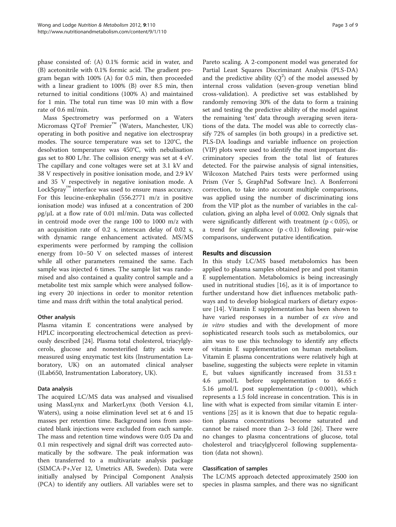phase consisted of: (A) 0.1% formic acid in water, and (B) acetonitrile with 0.1% formic acid. The gradient program began with 100% (A) for 0.5 min, then proceeded with a linear gradient to 100% (B) over 8.5 min, then returned to initial conditions (100% A) and maintained for 1 min. The total run time was 10 min with a flow rate of 0.6 ml/min.

Mass Spectrometry was performed on a Waters Micromass QToF Premier™ (Waters, Manchester, UK) operating in both positive and negative ion electrospray modes. The source temperature was set to 120°C, the desolvation temperature was 450°C, with nebulisation gas set to 800 L/hr. The collision energy was set at 4 eV. The capillary and cone voltages were set at 3.1 kV and 38 V respectively in positive ionisation mode, and 2.9 kV and 35 V respectively in negative ionisation mode. A LockSpray™ interface was used to ensure mass accuracy. For this leucine-enkephalin (556.2771 m/z in positive ionisation mode) was infused at a concentration of 200 ρg/μL at a flow rate of 0.01 ml/min. Data was collected in centroid mode over the range 100 to 1000 m/z with an acquisition rate of 0.2 s, interscan delay of 0.02 s, with dynamic range enhancement activated. MS/MS experiments were performed by ramping the collision energy from 10–50 V on selected masses of interest while all other parameters remained the same. Each sample was injected 6 times. The sample list was randomised and also contained a quality control sample and a metabolite test mix sample which were analysed following every 20 injections in order to monitor retention time and mass drift within the total analytical period.

### Other analysis

Plasma vitamin E concentrations were analysed by HPLC incorporating electrochemical detection as previously described [[24\]](#page-7-0). Plasma total cholesterol, triacylglycerols, glucose and nonesterified fatty acids were measured using enzymatic test kits (Instrumentation Laboratory, UK) on an automated clinical analyser (ILab650, Instrumentation Laboratory, UK).

### Data analysis

The acquired LC/MS data was analysed and visualised using MassLynx and MarkerLynx (both Version 4.1, Waters), using a noise elimination level set at 6 and 15 masses per retention time. Background ions from associated blank injections were excluded from each sample. The mass and retention time windows were 0.05 Da and 0.1 min respectively and signal drift was corrected automatically by the software. The peak information was then transferred to a multivariate analysis package (SIMCA-P+,Ver 12, Umetrics AB, Sweden). Data were initially analysed by Principal Component Analysis (PCA) to identify any outliers. All variables were set to Pareto scaling. A 2-component model was generated for Partial Least Squares Discriminant Analysis (PLS-DA) and the predictive ability  $(Q^2)$  of the model assessed by internal cross validation (seven-group venetian blind cross-validation). A predictive set was established by randomly removing 30% of the data to form a training set and testing the predictive ability of the model against the remaining 'test' data through averaging seven iterations of the data. The model was able to correctly classify 72% of samples (in both groups) in a predictive set. PLS-DA loadings and variable influence on projection (VIP) plots were used to identify the most important discriminatory species from the total list of features detected. For the pairwise analysis of signal intensities, Wilcoxon Matched Pairs tests were performed using Prism (Ver 5, GraphPad Software Inc). A Bonferroni correction, to take into account multiple comparisons, was applied using the number of discriminating ions from the VIP plot as the number of variables in the calculation, giving an alpha level of 0.002. Only signals that were significantly different with treatment ( $p < 0.05$ ), or a trend for significance  $(p < 0.1)$  following pair-wise comparisons, underwent putative identification.

### Results and discussion

In this study LC/MS based metabolomics has been applied to plasma samples obtained pre and post vitamin E supplementation. Metabolomics is being increasingly used in nutritional studies [[16\]](#page-7-0), as it is of importance to further understand how diet influences metabolic pathways and to develop biological markers of dietary exposure [[14\]](#page-7-0). Vitamin E supplementation has been shown to have varied responses in a number of ex vivo and in vitro studies and with the development of more sophisticated research tools such as metabolomics, our aim was to use this technology to identify any effects of vitamin E supplementation on human metabolism. Vitamin E plasma concentrations were relatively high at baseline, suggesting the subjects were replete in vitamin E, but values significantly increased from  $31.53 \pm$ 4.6  $\mu$ mol/L before supplementation to 46.65 ± 5.16  $\mu$ mol/L post supplementation (p < 0.001), which represents a 1.5 fold increase in concentration. This is in line with what is expected from similar vitamin E interventions [\[25\]](#page-7-0) as it is known that due to hepatic regulation plasma concentrations become saturated and cannot be raised more than 2–3 fold [\[26\]](#page-7-0). There were no changes to plasma concentrations of glucose, total cholesterol and triacylglycerol following supplementation (data not shown).

### Classification of samples

The LC/MS approach detected approximately 2500 ion species in plasma samples, and there was no significant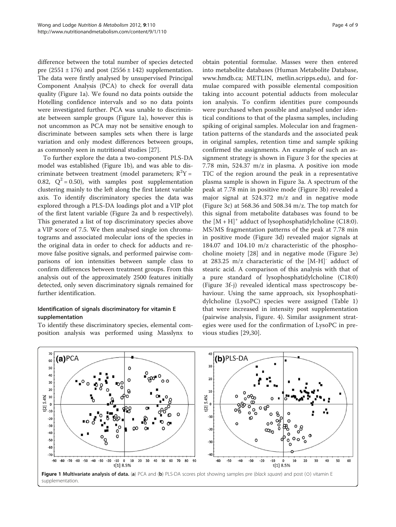<span id="page-3-0"></span>difference between the total number of species detected pre  $(2551 \pm 176)$  and post  $(2556 \pm 142)$  supplementation. The data were firstly analysed by unsupervised Principal Component Analysis (PCA) to check for overall data quality (Figure 1a). We found no data points outside the Hotelling confidence intervals and so no data points were investigated further. PCA was unable to discriminate between sample groups (Figure 1a), however this is not uncommon as PCA may not be sensitive enough to discriminate between samples sets when there is large variation and only modest differences between groups, as commonly seen in nutritional studies [[27\]](#page-7-0).

To further explore the data a two-component PLS-DA model was established (Figure 1b), and was able to discriminate between treatment (model parameters;  $R^2Y =$ 0.82,  $Q^2 = 0.50$ , with samples post supplementation clustering mainly to the left along the first latent variable axis. To identify discriminatory species the data was explored through a PLS-DA loadings plot and a VIP plot of the first latent variable (Figure [2a](#page-4-0) and b respectively). This generated a list of top discriminatory species above a VIP score of 7.5. We then analysed single ion chromatograms and associated molecular ions of the species in the original data in order to check for adducts and remove false positive signals, and performed pairwise comparisons of ion intensities between sample class to confirm differences between treatment groups. From this analysis out of the approximately 2500 features initially detected, only seven discriminatory signals remained for further identification.

## Identification of signals discriminatory for vitamin E supplementation

To identify these discriminatory species, elemental composition analysis was performed using Masslynx to

obtain potential formulae. Masses were then entered into metabolite databases (Human Metabolite Database, [www.hmdb.ca](http://www.hmdb.ca); METLIN, metlin.scripps.edu), and formulae compared with possible elemental composition taking into account potential adducts from molecular ion analysis. To confirm identities pure compounds were purchased when possible and analysed under identical conditions to that of the plasma samples, including spiking of original samples. Molecular ion and fragmentation patterns of the standards and the associated peak in original samples, retention time and sample spiking confirmed the assignments. An example of such an assignment strategy is shown in Figure [3](#page-5-0) for the species at 7.78 min, 524.37 m/z in plasma. A positive ion mode TIC of the region around the peak in a representative plasma sample is shown in Figure [3a.](#page-5-0) A spectrum of the peak at 7.78 min in positive mode (Figure [3b\)](#page-5-0) revealed a major signal at 524.372 m/z and in negative mode (Figure [3c\)](#page-5-0) at 568.36 and 508.34 m/z. The top match for this signal from metabolite databases was found to be the  $[M + H]^+$  adduct of lysophosphatidylcholine (C18:0). MS/MS fragmentation patterns of the peak at 7.78 min in positive mode (Figure [3d\)](#page-5-0) revealed major signals at 184.07 and 104.10 m/z characteristic of the phosphocholine moiety [[28\]](#page-7-0) and in negative mode (Figure [3e](#page-5-0)) at 283.25 m/z characteristic of the [M-H]- adduct of stearic acid. A comparison of this analysis with that of a pure standard of lysophosphatidylcholine (C18:0) (Figure [3f-j](#page-5-0)) revealed identical mass spectroscopy behaviour. Using the same approach, six lysophosphatidylcholine (LysoPC) species were assigned (Table [1](#page-5-0)) that were increased in intensity post supplementation (pairwise analysis, Figure. [4](#page-6-0)). Similar assignment strategies were used for the confirmation of LysoPC in previous studies [\[29,30](#page-7-0)].

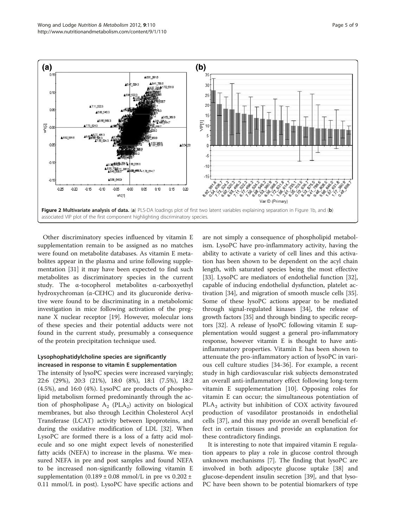<span id="page-4-0"></span>

Other discriminatory species influenced by vitamin E supplementation remain to be assigned as no matches were found on metabolite databases. As vitamin E metabolites appear in the plasma and urine following supplementation [[31\]](#page-7-0) it may have been expected to find such metabolites as discriminatory species in the current study. The α-tocopherol metabolites α-carboxyethyl hydroxychroman (α-CEHC) and its glucuronide derivative were found to be discriminating in a metabolomic investigation in mice following activation of the pregnane X nuclear receptor [\[19](#page-7-0)]. However, molecular ions of these species and their potential adducts were not found in the current study, presumably a consequence of the protein precipitation technique used.

## Lysophophatidylcholine species are significantly increased in response to vitamin E supplementation

The intensity of lysoPC species were increased varyingly; 22:6 (29%), 20:3 (21%), 18:0 (8%), 18:1 (7.5%), 18:2 (4.5%), and 16:0 (4%). LysoPC are products of phospholipid metabolism formed predominantly through the action of phospholipase  $A_2$  (PLA<sub>2</sub>) activity on biological membranes, but also through Lecithin Cholesterol Acyl Transferase (LCAT) activity between lipoproteins, and during the oxidative modification of LDL [\[32\]](#page-7-0). When LysoPC are formed there is a loss of a fatty acid molecule and so one might expect levels of nonesterified fatty acids (NEFA) to increase in the plasma. We measured NEFA in pre and post samples and found NEFA to be increased non-significantly following vitamin E supplementation  $(0.189 \pm 0.08 \text{ mmol/L}$  in pre vs  $0.202 \pm$ 0.11 mmol/L in post). LysoPC have specific actions and are not simply a consequence of phospholipid metabolism. LysoPC have pro-inflammatory activity, having the ability to activate a variety of cell lines and this activation has been shown to be dependent on the acyl chain length, with saturated species being the most effective [[33\]](#page-7-0). LysoPC are mediators of endothelial function [\[32](#page-7-0)], capable of inducing endothelial dysfunction, platelet activation [\[34\]](#page-7-0), and migration of smooth muscle cells [\[35](#page-7-0)]. Some of these lysoPC actions appear to be mediated through signal-regulated kinases [[34\]](#page-7-0), the release of growth factors [\[35\]](#page-7-0) and through binding to specific receptors [[32](#page-7-0)]. A release of lysoPC following vitamin E supplementation would suggest a general pro-inflammatory response, however vitamin E is thought to have antiinflammatory properties. Vitamin E has been shown to attenuate the pro-inflammatory action of lysoPC in various cell culture studies [\[34-36](#page-7-0)]. For example, a recent study in high cardiovascular risk subjects demonstrated an overall anti-inflammatory effect following long-term vitamin E supplementation [[10\]](#page-7-0). Opposing roles for vitamin E can occur; the simultaneous potentiation of  $PLA<sub>2</sub>$  activity but inhibition of COX activity favoured production of vasodilator prostanoids in endothelial cells [\[37](#page-7-0)], and this may provide an overall beneficial effect in certain tissues and provide an explanation for these contradictory findings.

It is interesting to note that impaired vitamin E regulation appears to play a role in glucose control through unknown mechanisms [\[7](#page-7-0)]. The finding that lysoPC are involved in both adipocyte glucose uptake [\[38\]](#page-7-0) and glucose-dependent insulin secretion [\[39\]](#page-7-0), and that lyso-PC have been shown to be potential biomarkers of type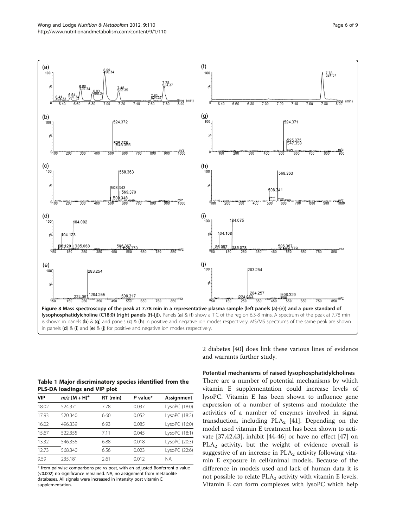<span id="page-5-0"></span>

Table 1 Major discriminatory species identified from the PLS-DA loadings and VIP plot

| VIP   | $m/z$ [M + H] <sup>+</sup> | RT (min) | $P$ value* | Assignment    |
|-------|----------------------------|----------|------------|---------------|
| 18.02 | 524.371                    | 7.78     | 0.037      | LysoPC (18:0) |
| 17.93 | 520.340                    | 6.60     | 0.052      | LysoPC (18:2) |
| 16.02 | 496.339                    | 6.93     | 0.085      | LysoPC (16:0) |
| 15.67 | 522.355                    | 711      | 0.045      | LysoPC (18:1) |
| 13.32 | 546.356                    | 6.88     | 0.018      | LysoPC (20:3) |
| 12.73 | 568.340                    | 6.56     | 0.023      | LysoPC (22:6) |
| 9.59  | 235.181                    | 2.61     | 0.012      | <b>NA</b>     |

\* from pairwise comparisons pre vs post, with an adjusted Bonferroni p value (<0.002) no significance remained. NA, no assignment from metabolite databases. All signals were increased in intensity post vitamin E supplementation.

2 diabetes [\[40\]](#page-8-0) does link these various lines of evidence and warrants further study.

Potential mechanisms of raised lysophosphatidylcholines

There are a number of potential mechanisms by which vitamin E supplementation could increase levels of lysoPC. Vitamin E has been shown to influence gene expression of a number of systems and modulate the activities of a number of enzymes involved in signal transduction, including  $PLA_2$  [[41](#page-8-0)]. Depending on the model used vitamin E treatment has been shown to activate [[37,](#page-7-0)[42,43\]](#page-8-0), inhibit [[44-46](#page-8-0)] or have no effect [\[47](#page-8-0)] on PLA<sub>2</sub> activity, but the weight of evidence overall is suggestive of an increase in  $PLA_2$  activity following vitamin E exposure in cell/animal models. Because of the difference in models used and lack of human data it is not possible to relate  $PLA_2$  activity with vitamin E levels. Vitamin E can form complexes with lysoPC which help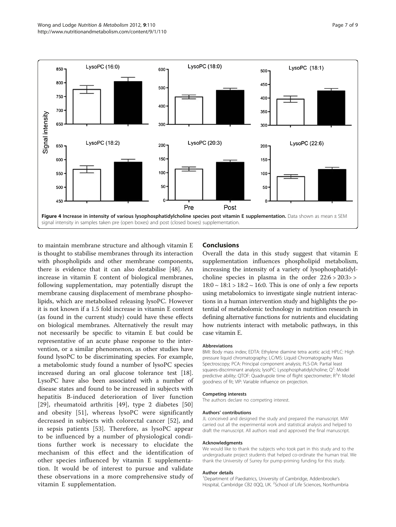<span id="page-6-0"></span>

to maintain membrane structure and although vitamin E is thought to stabilise membranes through its interaction with phospholipids and other membrane components, there is evidence that it can also destabilise [[48\]](#page-8-0). An increase in vitamin E content of biological membranes, following supplementation, may potentially disrupt the membrane causing displacement of membrane phospholipids, which are metabolised releasing lysoPC. However it is not known if a 1.5 fold increase in vitamin E content (as found in the current study) could have these effects on biological membranes. Alternatively the result may not necessarily be specific to vitamin E but could be representative of an acute phase response to the intervention, or a similar phenomenon, as other studies have found lysoPC to be discriminating species. For example, a metabolomic study found a number of lysoPC species increased during an oral glucose tolerance test [\[18](#page-7-0)]. LysoPC have also been associated with a number of disease states and found to be increased in subjects with hepatitis B-induced deterioration of liver function [[29](#page-7-0)], rheumatoid arthritis [[49\]](#page-8-0), type 2 diabetes [\[50](#page-8-0)] and obesity [[51](#page-8-0)], whereas lysoPC were significantly decreased in subjects with colorectal cancer [\[52](#page-8-0)], and in sepsis patients [[53](#page-8-0)]. Therefore, as lysoPC appear to be influenced by a number of physiological conditions further work is necessary to elucidate the mechanism of this effect and the identification of other species influenced by vitamin E supplementation. It would be of interest to pursue and validate these observations in a more comprehensive study of vitamin E supplementation.

#### Conclusions

Overall the data in this study suggest that vitamin E supplementation influences phospholipid metabolism, increasing the intensity of a variety of lysophosphatidylcholine species in plasma in the order  $22:6 > 20:3 >$  $18:0 \sim 18:1 > 18:2 \sim 16:0$ . This is one of only a few reports using metabolomics to investigate single nutrient interactions in a human intervention study and highlights the potential of metabolomic technology in nutrition research in defining alternative functions for nutrients and elucidating how nutrients interact with metabolic pathways, in this case vitamin E.

#### Abbreviations

BMI: Body mass index; EDTA: Ethylene diamine tetra acetic acid; HPLC: High pressure liquid chromatography; LC/MS: Liquid Chromatography Mass Spectroscopy; PCA: Principal component analysis; PLS-DA: Partial least squares-discriminant analysis; lysoPC: Lysophosphatidylcholine; Q<sup>2</sup>: Model predictive ability; QTOF: Quadrupole time of flight spectrometer; R<sup>2</sup>Y: Mode goodness of fit; VIP: Variable influence on projection.

#### Competing interests

The authors declare no competing interest.

#### Authors' contributions

JL conceived and designed the study and prepared the manuscript. MW carried out all the experimental work and statistical analysis and helped to draft the manuscript. All authors read and approved the final manuscript.

#### Acknowledgments

We would like to thank the subjects who took part in this study and to the undergraduate project students that helped co-ordinate the human trial. We thank the University of Surrey for pump-priming funding for this study.

#### Author details

<sup>1</sup>Department of Paediatrics, University of Cambridge, Addenbrooke's Hospital, Cambridge CB2 0QQ, UK. <sup>2</sup>School of Life Sciences, Northumbria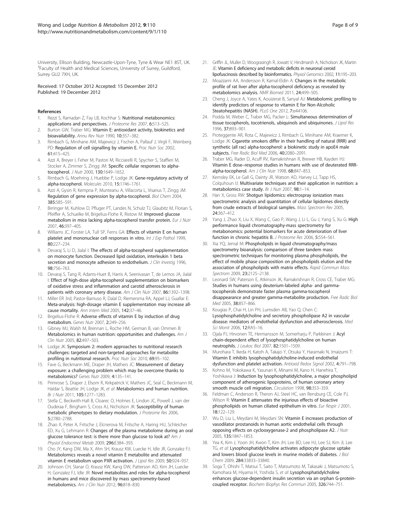<span id="page-7-0"></span>University, Ellison Building, Newcastle-Upon-Tyne, Tyne & Wear NE1 8ST, UK. <sup>3</sup>Faculty of Health and Medical Sciences, University of Surrey, Guildford, Surrey GU2 7XH, UK.

Received: 17 October 2012 Accepted: 15 December 2012 Published: 19 December 2012

#### References

- 1. Rezzi S, Ramadan Z, Fay LB, Kochhar S: Nutritional metabonomics: applications and perspectives. J Proteome Res 2007, 6:513-525.
- Burton GW, Traber MG: Vitamin E: antioxidant activity, biokinetics and bioavailability. Annu Rev Nutr 1990, 10:357–382.
- Rimbach G, Minihane AM, Majewicz J, Fischer A, Pallauf J, Virgli F, Weinberg PD: Regulation of cell signalling by vitamin E. Proc Nutr Soc 2002, 61:415–425.
- 4. Azzi A, Breyer I, Feher M, Pastori M, Ricciarelli R, Spycher S, Staffieri M, Stocker A, Zimmer S, Zingg JM: Specific cellular responses to alphatocopherol. J Nutr 2000, 130:1649–1652.
- Rimbach G, Moehring J, Huebbe P, Lodge JK: Gene-regulatory activity of alpha-tocopherol. Molecules 2010, 15:1746–1761.
- 6. Azzi A, Gysin R, Kempna P, Munteanu A, Villacorta L, Visarius T, Zingg JM: Regulation of gene expression by alpha-tocopherol. Biol Chem 2004, 385:585–591.
- 7. Birringer M, Kuhlow D, Pfluger PT, Landes N, Schulz TJ, Glaubitz M, Florian S, Pfeiffer A, Schuelke M, Brigelius-Flohe R, Ristow M: Improved glucose metabolism in mice lacking alpha-tocopherol transfer protein. Eur J Nutr 2007, 46:397–405.
- 8. Williams JC, Forster LA, Tull SP, Ferns GA: Effects of vitamin E on human platelet and mononuclear cell responses in vitro. Int J Exp Pathol 1999, 80:227–234.
- Devaraj S, Li D, Jialal I: The effects of alpha-tocopherol supplementation on monocyte function. Decreased lipid oxidation, interleukin 1 beta secretion and monocyte adhesion to endothelium. J Clin Investig 1996, 98:756–763.
- 10. Devaraj S, Tang R, Adams-Huet B, Harris A, Seenivasan T, de Lemos JA, Jialal I: Effect of high-dose alpha-tocopherol supplementation on biomarkers of oxidative stress and inflammation and carotid atherosclerosis in patients with coronary artery disease. Am J Clin Nutr 2007, 86:1392-1398.
- 11. Miller ER 3rd, Pastor-Barriuso R, Dalal D, Riemersma RA, Appel LJ, Guallar E: Meta-analysis: high-dosage vitamin E supplementation may increase allcause mortality. Ann Intern Med 2005, 142:37–46.
- 12. Brigelius-Flohe R: Adverse effects of vitamin E by induction of drug metabolism. Genes Nutr 2007, 2:249–256.
- 13. Gibney MJ, Walsh M, Brennan L, Roche HM, German B, van Ommen B: Metabolomics in human nutrition: opportunities and challenges. Am J Clin Nutr 2005, 82:497–503.
- 14. Lodge JK: Symposium 2: modern approaches to nutritional research challenges: targeted and non-targeted approaches for metabolite profiling in nutritional research. Proc Nutr Soc 2010, 69:95-102.
- 15. Fave G, Beckmann ME, Draper JH, Mathers JC: Measurement of dietary exposure: a challenging problem which may be overcome thanks to metabolomics? Genes Nutr 2009, 4:135–141.
- 16. Primrose S, Draper J, Elsom R, Kirkpatrick V, Mathers JC, Seal C, Beckmann M, Haldar S, Beattie JH, Lodge JK, et al: Metabolomics and human nutrition. Br J Nutr 2011, 105:1277–1283.
- 17. Stella C, Beckwith-Hall B, Cloarec O, Holmes E, Lindon JC, Powell J, van der Ouderaa F, Bingham S, Cross AJ, Nicholson JK: Susceptibility of human metabolic phenotypes to dietary modulation. J Proteome Res 2006, 5:2780–2788.
- 18. Zhao X, Peter A, Fritsche J, Elcnerova M, Fritsche A, Haring HU, Schleicher ED, Xu G, Lehmann R: Changes of the plasma metabolome during an oral glucose tolerance test: is there more than glucose to look at? Am J Physiol Endocrinol Metab 2009, 296:E384–393.
- 19. Cho JY, Kang DW, Ma X, Ahn SH, Krausz KW, Luecke H, Idle JR, Gonzalez FJ: Metabolomics reveals a novel vitamin E metabolite and attenuated vitamin E metabolism upon PXR activation. J Lipid Res 2009, 50:924–937.
- 20. Johnson CH, Slanar O, Krausz KW, Kang DW, Patterson AD, Kim JH, Luecke H, Gonzalez FJ, Idle JR: Novel metabolites and roles for alpha-tocopherol in humans and mice discovered by mass spectrometry-based metabolomics. Am J Clin Nutr 2012, 96:818–830.
- 21. Griffin JL, Muller D, Woograsingh R, Jowatt V, Hindmarsh A, Nicholson JK, Martin JE: Vitamin E deficiency and metabolic deficits in neuronal ceroid lipofuscinosis described by bioinformatics. Physiol Genomics 2002, 11:195–203.
- 22. Moazzami AA, Andersson R, Kamal-Eldin A: Changes in the metabolic profile of rat liver after alpha-tocopherol deficiency as revealed by metabolomics analysis. NMR Biomed 2011, 24:499–505.
- 23. Cheng J, Joyce A, Yates K, Aouizerat B, Sanyal AJ: Metabolomic profiling to identify predictors of response to vitamin E for Non-Alcoholic Steatohepatitis (NASH). PLoS One 2012, 7:e44106.
- 24. Podda M, Weber C, Traber MG, Packer L: Simultaneous determination of tissue tocopherols, tocotrienols, ubiquinols and ubiquinones. J Lipid Res 1996, 37:893–901.
- 25. Proteggente AR, Rota C, Majewicz J, Rimbach G, Minihane AM, Kraemer K, Lodge JK: Cigarette smokers differ in their handling of natural (RRR) and synthetic (all rac) alpha-tocopherol: a biokinetic study in apoE4 male subjects. Free Radic Biol Med 2006, 40:2080–2091.
- 26. Traber MG, Rader D, Acuff RV, Ramakrishnan R, Brewer HB, Kayden HJ: Vitamin E dose–response studies in humans with use of deuterated RRRalpha-tocopherol. Am J Clin Nutr 1998, 68:847-853.
- 27. Kemsley EK, Le Gall G, Dainty JR, Watson AD, Harvey LJ, Tapp HS, Colquhoun IJ: Multivariate techniques and their application in nutrition: a metabolomics case study. Br J Nutr 2007, 98:1–14.
- 28. Han X, Gross RW: Shotgun lipidomics: electrospray ionization mass spectrometric analysis and quantitation of cellular lipidomes directly from crude extracts of biological samples. Mass Spectrom Rev 2005, 24:367–412.
- 29. Yang J, Zhao X, Liu X, Wang C, Gao P, Wang J, Li L, Gu J, Yang S, Xu G: High performance liquid chromatography-mass spectrometry for metabonomics: potential biomarkers for acute deterioration of liver function in chronic hepatitis B. J Proteome Res 2006, 5:554–561.
- 30. Xia YQ, Jemal M: Phospholipids in liquid chromatography/mass spectrometry bioanalysis: comparison of three tandem mass spectrometric techniques for monitoring plasma phospholipids, the effect of mobile phase composition on phospholipids elution and the association of phospholipids with matrix effects. Rapid Commun Mass Spectrom 2009, 23:2125-2138.
- 31. Leonard SW, Paterson E, Atkinson JK, Ramakrishnan R, Cross CE, Traber MG: Studies in humans using deuterium-labeled alpha- and gammatocopherols demonstrate faster plasma gamma-tocopherol disappearance and greater gamma-metabolite production. Free Radic Biol Med 2005, 38:857–866.
- 32. Kougias P, Chai H, Lin PH, Lumsden AB, Yao Q, Chen C: Lysophosphatidylcholine and secretory phospholipase A2 in vascular disease: mediators of endothelial dysfunction and atherosclerosis. Med Sci Monit 2006, 12:RA5–16.
- 33. Ojala PJ, Hirvonen TE, Hermansson M, Somerharju P, Parkkinen J: Acyl chain-dependent effect of lysophosphatidylcholine on human neutrophils. J Leukoc Biol 2007, 82:1501–1509.
- 34. Murohara T, Ikeda H, Katoh A, Takajo Y, Otsuka Y, Haramaki N, Imaizumi T: Vitamin E inhibits lysophosphatidylcholine-induced endothelial dysfunction and platelet activation. Antioxid Redox Signal 2002, 4:791–798.
- 35. Kohno M, Yokokawa K, Yasunari K, Minami M, Kano H, Hanehira T, Yoshikawa J: Induction by lysophosphatidylcholine, a major phospholipid component of atherogenic lipoproteins, of human coronary artery smooth muscle cell migration. Circulation 1998, 98:353–359.
- 36. Feldman C, Anderson R, Theron AJ, Steel HC, van Rensburg CE, Cole PJ, Wilson R: Vitamin E attenuates the injurious effects of bioactive phospholipids on human ciliated epithelium in vitro. Eur Respir J 2001, 18:122–129.
- 37. Wu D, Liu L, Meydani M, Meydani SN: Vitamin E increases production of vasodilator prostanoids in human aortic endothelial cells through opposing effects on cyclooxygenase-2 and phospholipase A2. J Nutr 2005, 135:1847–1853.
- 38. Yea K, Kim J, Yoon JH, Kwon T, Kim JH, Lee BD, Lee HJ, Lee SJ, Kim JI, Lee TG, et al: Lysophosphatidylcholine activates adipocyte glucose uptake and lowers blood glucose levels in murine models of diabetes. J Biol Chem 2009, 284:33833–33840.
- 39. Soga T, Ohishi T, Matsui T, Saito T, Matsumoto M, Takasaki J, Matsumoto S, Kamohara M, Hiyama H, Yoshida S, et al: Lysophosphatidylcholine enhances glucose-dependent insulin secretion via an orphan G-proteincoupled receptor. Biochem Biophys Res Commun 2005, 326:744–751.